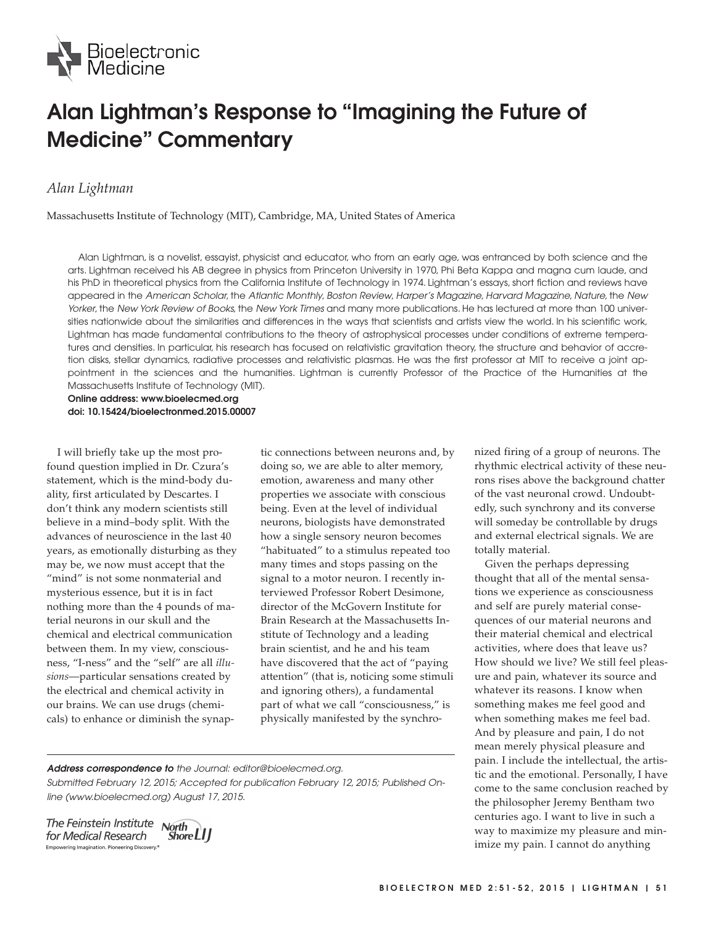

## **Alan Lightman's Response to "Imagining the Future of Medicine" Commentary**

## *Alan Lightman*

Massachusetts Institute of Technology (MIT), Cambridge, MA, United States of America

Alan Lightman, is a novelist, essayist, physicist and educator, who from an early age, was entranced by both science and the arts. Lightman received his AB degree in physics from Princeton University in 1970, Phi Beta Kappa and magna cum laude, and his PhD in theoretical physics from the California Institute of Technology in 1974. Lightman's essays, short fiction and reviews have appeared in the American Scholar, the Atlantic Monthly, Boston Review, Harper's Magazine, Harvard Magazine, Nature, the New Yorker, the New York Review of Books, the New York Times and many more publications. He has lectured at more than 100 universities nationwide about the similarities and differences in the ways that scientists and artists view the world. In his scientific work, Lightman has made fundamental contributions to the theory of astrophysical processes under conditions of extreme temperatures and densities. In particular, his research has focused on relativistic gravitation theory, the structure and behavior of accretion disks, stellar dynamics, radiative processes and relativistic plasmas. He was the first professor at MIT to receive a joint appointment in the sciences and the humanities. Lightman is currently Professor of the Practice of the Humanities at the Massachusetts Institute of Technology (MIT).

**Online address: www.bioelecmed.org doi: 10.15424/bioelectronmed.2015.00007**

I will briefly take up the most profound question implied in Dr. Czura's statement, which is the mind-body duality, first articulated by Descartes. I don't think any modern scientists still believe in a mind–body split. With the advances of neuroscience in the last 40 years, as emotionally disturbing as they may be, we now must accept that the "mind" is not some nonmaterial and mysterious essence, but it is in fact nothing more than the 4 pounds of material neurons in our skull and the chemical and electrical communication between them. In my view, consciousness, "I-ness" and the "self" are all *illusions*—particular sensations created by the electrical and chemical activity in our brains. We can use drugs (chemicals) to enhance or diminish the synaptic connections between neurons and, by doing so, we are able to alter memory, emotion, awareness and many other properties we associate with conscious being. Even at the level of individual neurons, biologists have demonstrated how a single sensory neuron becomes "habituated" to a stimulus repeated too many times and stops passing on the signal to a motor neuron. I recently interviewed Professor Robert Desimone, director of the McGovern Institute for Brain Research at the Massachusetts Institute of Technology and a leading brain scientist, and he and his team have discovered that the act of "paying attention" (that is, noticing some stimuli and ignoring others), a fundamental part of what we call "consciousness," is physically manifested by the synchro-

**Address correspondence to** the Journal: editor@bioelecmed.org. Submitted February 12, 2015; Accepted for publication February 12, 2015; Published Online (www.bioelecmed.org) August 17, 2015.

The Feinstein Institute North Shore **LI** for Medical Research Empowering Imagination. Pioneering Discovery.<sup>4</sup>

nized firing of a group of neurons. The rhythmic electrical activity of these neurons rises above the background chatter of the vast neuronal crowd. Undoubtedly, such synchrony and its converse will someday be controllable by drugs and external electrical signals. We are totally material.

Given the perhaps depressing thought that all of the mental sensations we experience as consciousness and self are purely material consequences of our material neurons and their material chemical and electrical activities, where does that leave us? How should we live? We still feel pleasure and pain, whatever its source and whatever its reasons. I know when something makes me feel good and when something makes me feel bad. And by pleasure and pain, I do not mean merely physical pleasure and pain. I include the intellectual, the artistic and the emotional. Personally, I have come to the same conclusion reached by the philosopher Jeremy Bentham two centuries ago. I want to live in such a way to maximize my pleasure and minimize my pain. I cannot do anything